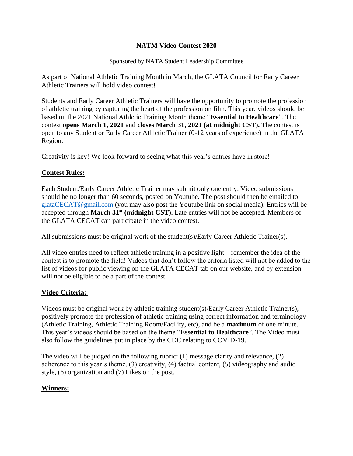## **NATM Video Contest 2020**

#### Sponsored by NATA Student Leadership Committee

As part of National Athletic Training Month in March, the GLATA Council for Early Career Athletic Trainers will hold video contest!

Students and Early Career Athletic Trainers will have the opportunity to promote the profession of athletic training by capturing the heart of the profession on film. This year, videos should be based on the 2021 National Athletic Training Month theme "**Essential to Healthcare**". The contest **opens March 1, 2021** and **closes March 31, 2021 (at midnight CST).** The contest is open to any Student or Early Career Athletic Trainer (0-12 years of experience) in the GLATA Region.

Creativity is key! We look forward to seeing what this year's entries have in store!

# **Contest Rules:**

Each Student/Early Career Athletic Trainer may submit only one entry. Video submissions should be no longer than 60 seconds, posted on Youtube. The post should then be emailed to [glataCECAT@gmail.com](mailto:glataCECAT@gmail.com) (you may also post the Youtube link on social media). Entries will be accepted through **March 31st (midnight CST).** Late entries will not be accepted. Members of the GLATA CECAT can participate in the video contest.

All submissions must be original work of the student(s)/Early Career Athletic Trainer(s).

All video entries need to reflect athletic training in a positive light – remember the idea of the contest is to promote the field! Videos that don't follow the criteria listed will not be added to the list of videos for public viewing on the GLATA CECAT tab on our website, and by extension will not be eligible to be a part of the contest.

### **Video Criteria:**

Videos must be original work by athletic training student(s)/Early Career Athletic Trainer(s), positively promote the profession of athletic training using correct information and terminology (Athletic Training, Athletic Training Room/Facility, etc), and be a **maximum** of one minute. This year's videos should be based on the theme "**Essential to Healthcare**". The Video must also follow the guidelines put in place by the CDC relating to COVID-19.

The video will be judged on the following rubric: (1) message clarity and relevance, (2) adherence to this year's theme, (3) creativity, (4) factual content, (5) videography and audio style, (6) organization and (7) Likes on the post.

### **Winners:**